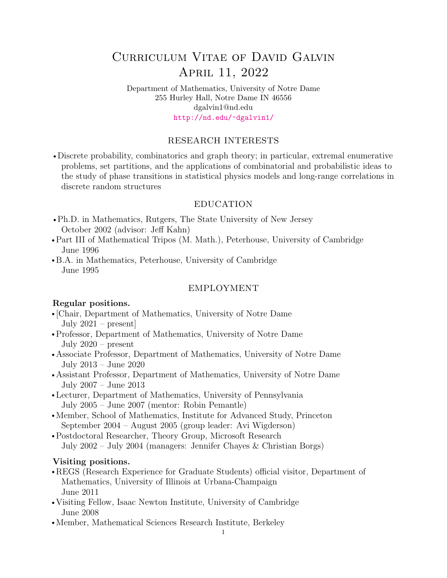# Curriculum Vitae of David Galvin April 11, 2022

Department of Mathematics, University of Notre Dame 255 Hurley Hall, Notre Dame IN 46556 dgalvin1@nd.edu <http://nd.edu/~dgalvin1/>

## RESEARCH INTERESTS

• Discrete probability, combinatorics and graph theory; in particular, extremal enumerative problems, set partitions, and the applications of combinatorial and probabilistic ideas to the study of phase transitions in statistical physics models and long-range correlations in discrete random structures

#### EDUCATION

- Ph.D. in Mathematics, Rutgers, The State University of New Jersey October 2002 (advisor: Jeff Kahn)
- Part III of Mathematical Tripos (M. Math.), Peterhouse, University of Cambridge June 1996
- B.A. in Mathematics, Peterhouse, University of Cambridge June 1995

#### EMPLOYMENT

#### Regular positions.

- r [Chair, Department of Mathematics, University of Notre Dame July 2021 – present]
- Professor, Department of Mathematics, University of Notre Dame July 2020 – present
- Associate Professor, Department of Mathematics, University of Notre Dame July 2013 – June 2020
- Assistant Professor, Department of Mathematics, University of Notre Dame July 2007 – June 2013
- Lecturer, Department of Mathematics, University of Pennsylvania July 2005 – June 2007 (mentor: Robin Pemantle)
- Member, School of Mathematics, Institute for Advanced Study, Princeton September 2004 – August 2005 (group leader: Avi Wigderson)
- Postdoctoral Researcher, Theory Group, Microsoft Research July 2002 – July 2004 (managers: Jennifer Chayes & Christian Borgs)

#### Visiting positions.

- •REGS (Research Experience for Graduate Students) official visitor, Department of Mathematics, University of Illinois at Urbana-Champaign June 2011
- Visiting Fellow, Isaac Newton Institute, University of Cambridge June 2008
- Member, Mathematical Sciences Research Institute, Berkeley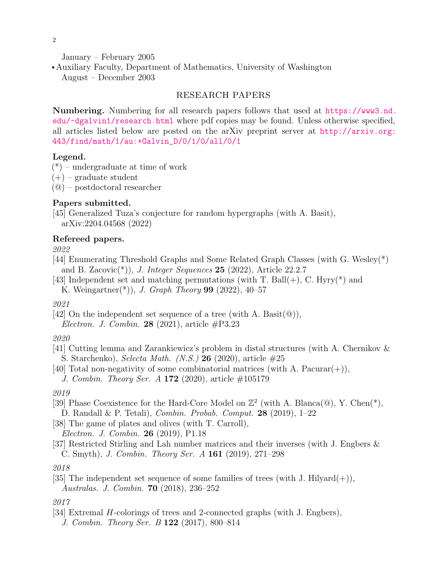January – February 2005

• Auxiliary Faculty, Department of Mathematics, University of Washington August – December 2003

## RESEARCH PAPERS

Numbering. Numbering for all research papers follows that used at [https://www3.nd.](https://www3.nd.edu/~dgalvin1/research.html) [edu/~dgalvin1/research.html](https://www3.nd.edu/~dgalvin1/research.html) where pdf copies may be found. Unless otherwise specified, all articles listed below are posted on the arXiv preprint server at [http://arxiv.org:](http://arxiv.org:443/find/math/1/au:+Galvin_D/0/1/0/all/0/1) [443/find/math/1/au:+Galvin\\_D/0/1/0/all/0/1](http://arxiv.org:443/find/math/1/au:+Galvin_D/0/1/0/all/0/1)

## Legend.

- $(*)$  undergraduate at time of work
- $(+)$  graduate student
- (@) postdoctoral researcher

# Papers submitted.

[45] Generalized Tuza's conjecture for random hypergraphs (with A. Basit), arXiv:2204.04568 (2022)

## Refereed papers.

2022

- [44] Enumerating Threshold Graphs and Some Related Graph Classes (with G. Wesley(\*) and B. Zacovic<sup>(\*)</sup>), *J. Integer Sequences* 25 (2022), Article 22.2.7
- [43] Independent set and matching permutations (with T. Ball $(+)$ , C. Hyry $(*)$ ) and K. Weingartner(\*)), *J. Graph Theory* **99** (2022), 40–57

2021

[42] On the independent set sequence of a tree (with A. Basit( $\mathcal{Q}$ )),

Electron. J. Combin. 28 (2021), article  $\#P3.23$ 

# 2020

- [41] Cutting lemma and Zarankiewicz's problem in distal structures (with A. Chernikov & S. Starchenko), Selecta Math. (N.S.) 26 (2020), article  $\#25$
- [40] Total non-negativity of some combinatorial matrices (with A. Pacurar(+)),

*J. Combin. Theory Ser. A* 172 (2020), article  $\#105179$ 

2019

- [39] Phase Coexistence for the Hard-Core Model on  $\mathbb{Z}^2$  (with A. Blanca( $\mathbb{Q}$ ), Y. Chen(\*), D. Randall & P. Tetali), Combin. Probab. Comput. 28 (2019), 1–22
- [38] The game of plates and olives (with T. Carroll), Electron. J. Combin. 26 (2019), P1.18
- [37] Restricted Stirling and Lah number matrices and their inverses (with J. Engbers & C. Smyth), J. Combin. Theory Ser. A 161 (2019), 271–298

[35] The independent set sequence of some families of trees (with J. Hilyard $(+)$ ), Australas. J. Combin. 70 (2018), 236–252

2017

[34] Extremal H-colorings of trees and 2-connected graphs (with J. Engbers), J. Combin. Theory Ser. B 122 (2017), 800–814

<sup>2018</sup>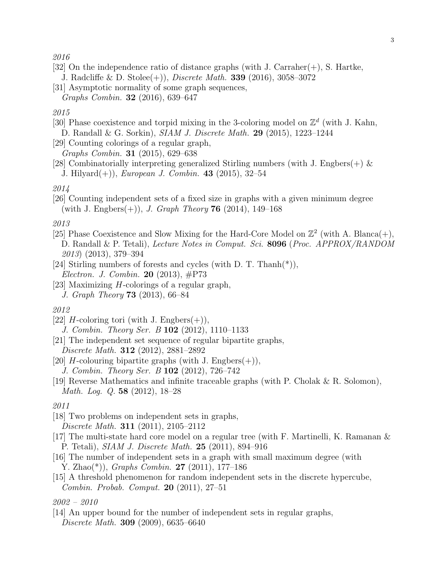#### 2016

- [32] On the independence ratio of distance graphs (with J. Carraher(+), S. Hartke, J. Radcliffe & D. Stolee(+)), Discrete Math. 339 (2016), 3058–3072
- [31] Asymptotic normality of some graph sequences, Graphs Combin. 32 (2016), 639–647

## 2015

- [30] Phase coexistence and torpid mixing in the 3-coloring model on  $\mathbb{Z}^d$  (with J. Kahn, D. Randall & G. Sorkin), SIAM J. Discrete Math. 29 (2015), 1223–1244
- [29] Counting colorings of a regular graph, Graphs Combin. 31 (2015), 629–638
- [28] Combinatorially interpreting generalized Stirling numbers (with J. Engbers $(+)$  & J. Hilyard $(+)$ ), *European J. Combin.* 43 (2015), 32–54

#### 2014

[26] Counting independent sets of a fixed size in graphs with a given minimum degree (with J. Engbers $(+)$ ), *J. Graph Theory* **76** (2014), 149–168

## 2013

- [25] Phase Coexistence and Slow Mixing for the Hard-Core Model on  $\mathbb{Z}^2$  (with A. Blanca(+), D. Randall & P. Tetali), Lecture Notes in Comput. Sci. 8096 (Proc. APPROX/RANDOM 2013) (2013), 379–394
- [24] Stirling numbers of forests and cycles (with D. T. Thanh(\*)), Electron. J. Combin. 20 (2013), #P73
- [23] Maximizing H-colorings of a regular graph, J. Graph Theory 73 (2013), 66–84

#### 2012

- [22] H-coloring tori (with J. Engbers $(+)$ ), J. Combin. Theory Ser. B 102 (2012), 1110–1133
- [21] The independent set sequence of regular bipartite graphs, Discrete Math. 312 (2012), 2881–2892
- [20] *H*-colouring bipartite graphs (with J. Engbers $(+)$ ), J. Combin. Theory Ser. B 102 (2012), 726–742
- [19] Reverse Mathematics and infinite traceable graphs (with P. Cholak & R. Solomon), Math. Log. Q. 58 (2012), 18–28

## 2011

- [18] Two problems on independent sets in graphs, Discrete Math. 311 (2011), 2105–2112
- [17] The multi-state hard core model on a regular tree (with F. Martinelli, K. Ramanan & P. Tetali), SIAM J. Discrete Math. 25 (2011), 894–916
- [16] The number of independent sets in a graph with small maximum degree (with Y. Zhao(\*)), Graphs Combin. 27 (2011), 177–186
- [15] A threshold phenomenon for random independent sets in the discrete hypercube, Combin. Probab. Comput. 20 (2011), 27–51

#### 2002 – 2010

[14] An upper bound for the number of independent sets in regular graphs, Discrete Math. 309 (2009), 6635–6640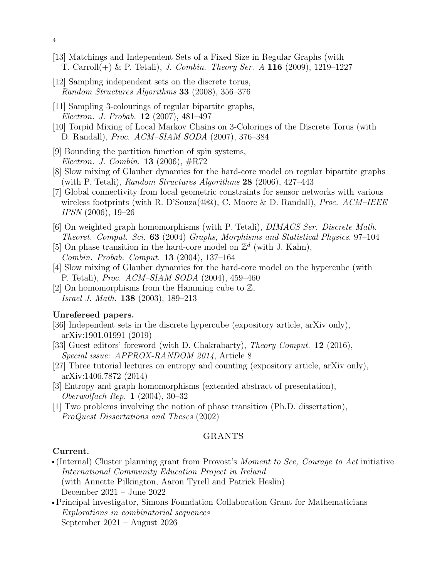- [13] Matchings and Independent Sets of a Fixed Size in Regular Graphs (with T. Carroll $(+)$  & P. Tetali), J. Combin. Theory Ser. A 116 (2009), 1219–1227
- [12] Sampling independent sets on the discrete torus, Random Structures Algorithms 33 (2008), 356–376
- [11] Sampling 3-colourings of regular bipartite graphs, Electron. J. Probab. 12 (2007), 481–497
- [10] Torpid Mixing of Local Markov Chains on 3-Colorings of the Discrete Torus (with D. Randall), Proc. ACM–SIAM SODA (2007), 376–384
- [9] Bounding the partition function of spin systems, Electron. J. Combin. 13 (2006), #R72
- [8] Slow mixing of Glauber dynamics for the hard-core model on regular bipartite graphs (with P. Tetali), Random Structures Algorithms 28 (2006), 427–443
- [7] Global connectivity from local geometric constraints for sensor networks with various wireless footprints (with R. D'Souza( $@@$ ), C. Moore & D. Randall), *Proc. ACM–IEEE* IPSN (2006), 19–26
- [6] On weighted graph homomorphisms (with P. Tetali), DIMACS Ser. Discrete Math. Theoret. Comput. Sci. 63 (2004) Graphs, Morphisms and Statistical Physics, 97–104
- [5] On phase transition in the hard-core model on  $\mathbb{Z}^d$  (with J. Kahn), Combin. Probab. Comput. 13 (2004), 137–164
- [4] Slow mixing of Glauber dynamics for the hard-core model on the hypercube (with P. Tetali), Proc. ACM–SIAM SODA (2004), 459–460
- [2] On homomorphisms from the Hamming cube to  $\mathbb{Z}$ , Israel J. Math. 138 (2003), 189–213

## Unrefereed papers.

- [36] Independent sets in the discrete hypercube (expository article, arXiv only), arXiv:1901.01991 (2019)
- [33] Guest editors' foreword (with D. Chakrabarty), Theory Comput. 12 (2016), Special issue: APPROX-RANDOM 2014, Article 8
- [27] Three tutorial lectures on entropy and counting (expository article, arXiv only), arXiv:1406.7872 (2014)
- [3] Entropy and graph homomorphisms (extended abstract of presentation), Oberwolfach Rep. 1 (2004), 30–32
- [1] Two problems involving the notion of phase transition (Ph.D. dissertation), ProQuest Dissertations and Theses (2002)

## GRANTS

## Current.

- (Internal) Cluster planning grant from Provost's *Moment to See, Courage to Act* initiative International Community Education Project in Ireland (with Annette Pilkington, Aaron Tyrell and Patrick Heslin) December 2021 – June 2022
- Principal investigator, Simons Foundation Collaboration Grant for Mathematicians Explorations in combinatorial sequences September 2021 – August 2026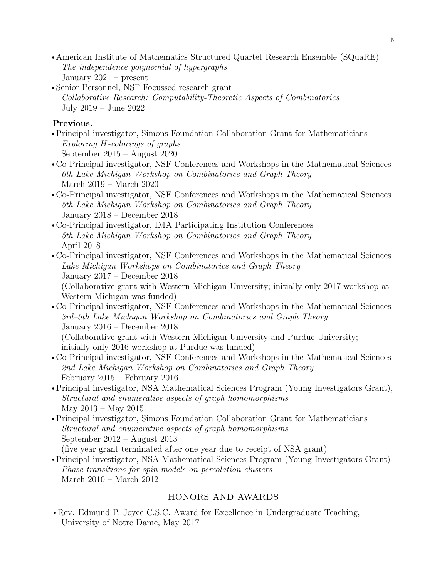- rAmerican Institute of Mathematics Structured Quartet Research Ensemble (SQuaRE) The independence polynomial of hypergraphs January 2021 – present
- Senior Personnel, NSF Focussed research grant Collaborative Research: Computability-Theoretic Aspects of Combinatorics July 2019 – June 2022

# Previous.

- Principal investigator, Simons Foundation Collaboration Grant for Mathematicians Exploring H-colorings of graphs September 2015 – August 2020
- rCo-Principal investigator, NSF Conferences and Workshops in the Mathematical Sciences 6th Lake Michigan Workshop on Combinatorics and Graph Theory March 2019 – March 2020
- rCo-Principal investigator, NSF Conferences and Workshops in the Mathematical Sciences 5th Lake Michigan Workshop on Combinatorics and Graph Theory January 2018 – December 2018
- rCo-Principal investigator, IMA Participating Institution Conferences 5th Lake Michigan Workshop on Combinatorics and Graph Theory April 2018
- Co-Principal investigator, NSF Conferences and Workshops in the Mathematical Sciences Lake Michigan Workshops on Combinatorics and Graph Theory January 2017 – December 2018 (Collaborative grant with Western Michigan University; initially only 2017 workshop at Western Michigan was funded)
- rCo-Principal investigator, NSF Conferences and Workshops in the Mathematical Sciences 3rd–5th Lake Michigan Workshop on Combinatorics and Graph Theory January 2016 – December 2018 (Collaborative grant with Western Michigan University and Purdue University; initially only 2016 workshop at Purdue was funded)
- rCo-Principal investigator, NSF Conferences and Workshops in the Mathematical Sciences 2nd Lake Michigan Workshop on Combinatorics and Graph Theory February 2015 – February 2016
- Principal investigator, NSA Mathematical Sciences Program (Young Investigators Grant), Structural and enumerative aspects of graph homomorphisms May 2013 – May 2015
- Principal investigator, Simons Foundation Collaboration Grant for Mathematicians Structural and enumerative aspects of graph homomorphisms September 2012 – August 2013 (five year grant terminated after one year due to receipt of NSA grant)
- Principal investigator, NSA Mathematical Sciences Program (Young Investigators Grant) Phase transitions for spin models on percolation clusters March 2010 – March 2012

# HONORS AND AWARDS

• Rev. Edmund P. Joyce C.S.C. Award for Excellence in Undergraduate Teaching, University of Notre Dame, May 2017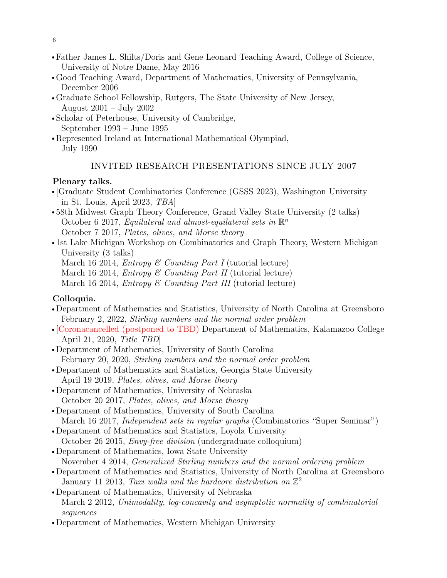- 6
- Father James L. Shilts/Doris and Gene Leonard Teaching Award, College of Science, University of Notre Dame, May 2016
- rGood Teaching Award, Department of Mathematics, University of Pennsylvania, December 2006
- Graduate School Fellowship, Rutgers, The State University of New Jersey, August 2001 – July 2002
- Scholar of Peterhouse, University of Cambridge, September 1993 – June 1995
- Represented Ireland at International Mathematical Olympiad, July 1990

# INVITED RESEARCH PRESENTATIONS SINCE JULY 2007

# Plenary talks.

- r [Graduate Student Combinatorics Conference (GSSS 2023), Washington University in St. Louis, April 2023, TBA]
- •58th Midwest Graph Theory Conference, Grand Valley State University (2 talks) October 6 2017, Equilateral and almost-equilateral sets in  $\mathbb{R}^n$ October 7 2017, Plates, olives, and Morse theory
- 1st Lake Michigan Workshop on Combinatorics and Graph Theory, Western Michigan University (3 talks)
	- March 16 2014, *Entropy* & Counting Part I (tutorial lecture)
	- March 16 2014, *Entropy* & Counting Part II (tutorial lecture)
	- March 16 2014, *Entropy* & Counting Part III (tutorial lecture)

# Colloquia.

- Department of Mathematics and Statistics, University of North Carolina at Greensboro February 2, 2022, Stirling numbers and the normal order problem
- r [Coronacancelled (postponed to TBD) Department of Mathematics, Kalamazoo College April 21, 2020, Title TBD]
- Department of Mathematics, University of South Carolina February 20, 2020, Stirling numbers and the normal order problem
- Department of Mathematics and Statistics, Georgia State University April 19 2019, Plates, olives, and Morse theory
- •Department of Mathematics, University of Nebraska October 20 2017, Plates, olives, and Morse theory
- Department of Mathematics, University of South Carolina March 16 2017, Independent sets in regular graphs (Combinatorics "Super Seminar")
- Department of Mathematics and Statistics, Loyola University October 26 2015, Envy-free division (undergraduate colloquium)
- Department of Mathematics, Iowa State University November 4 2014, Generalized Stirling numbers and the normal ordering problem
- Department of Mathematics and Statistics, University of North Carolina at Greensboro January 11 2013, Taxi walks and the hardcore distribution on  $\mathbb{Z}^2$
- Department of Mathematics, University of Nebraska March 2 2012, Unimodality, log-concavity and asymptotic normality of combinatorial sequences
- Department of Mathematics, Western Michigan University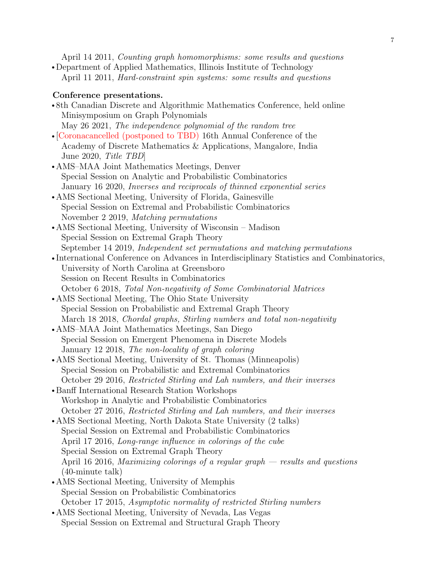April 14 2011, Counting graph homomorphisms: some results and questions • Department of Applied Mathematics, Illinois Institute of Technology

April 11 2011, Hard-constraint spin systems: some results and questions

## Conference presentations.

- •8th Canadian Discrete and Algorithmic Mathematics Conference, held online Minisymposium on Graph Polynomials May 26 2021, The independence polynomial of the random tree
- r [Coronacancelled (postponed to TBD) 16th Annual Conference of the Academy of Discrete Mathematics & Applications, Mangalore, India June 2020, Title TBD]
- AMS–MAA Joint Mathematics Meetings, Denver Special Session on Analytic and Probabilistic Combinatorics January 16 2020, Inverses and reciprocals of thinned exponential series
- AMS Sectional Meeting, University of Florida, Gainesville Special Session on Extremal and Probabilistic Combinatorics November 2 2019, Matching permutations
- AMS Sectional Meeting, University of Wisconsin Madison Special Session on Extremal Graph Theory September 14 2019, Independent set permutations and matching permutations
- •International Conference on Advances in Interdisciplinary Statistics and Combinatorics, University of North Carolina at Greensboro Session on Recent Results in Combinatorics October 6 2018, Total Non-negativity of Some Combinatorial Matrices
- AMS Sectional Meeting, The Ohio State University Special Session on Probabilistic and Extremal Graph Theory March 18 2018, Chordal graphs, Stirling numbers and total non-negativity
- AMS–MAA Joint Mathematics Meetings, San Diego Special Session on Emergent Phenomena in Discrete Models January 12 2018, The non-locality of graph coloring
- AMS Sectional Meeting, University of St. Thomas (Minneapolis) Special Session on Probabilistic and Extremal Combinatorics October 29 2016, Restricted Stirling and Lah numbers, and their inverses
- Banff International Research Station Workshops Workshop in Analytic and Probabilistic Combinatorics October 27 2016, Restricted Stirling and Lah numbers, and their inverses
- AMS Sectional Meeting, North Dakota State University (2 talks) Special Session on Extremal and Probabilistic Combinatorics April 17 2016, Long-range influence in colorings of the cube Special Session on Extremal Graph Theory April 16 2016, Maximizing colorings of a regular graph  $-$  results and questions (40-minute talk)
- AMS Sectional Meeting, University of Memphis Special Session on Probabilistic Combinatorics October 17 2015, Asymptotic normality of restricted Stirling numbers
- AMS Sectional Meeting, University of Nevada, Las Vegas Special Session on Extremal and Structural Graph Theory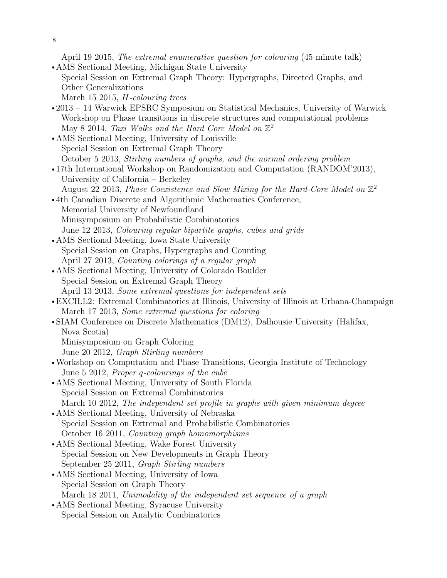8

April 19 2015, The extremal enumerative question for colouring (45 minute talk)

- AMS Sectional Meeting, Michigan State University Special Session on Extremal Graph Theory: Hypergraphs, Directed Graphs, and Other Generalizations
	- March 15 2015, H-colouring trees
- 2013 14 Warwick EPSRC Symposium on Statistical Mechanics, University of Warwick Workshop on Phase transitions in discrete structures and computational problems May 8 2014, Taxi Walks and the Hard Core Model on  $\mathbb{Z}^2$
- AMS Sectional Meeting, University of Louisville Special Session on Extremal Graph Theory October 5 2013, Stirling numbers of graphs, and the normal ordering problem
- •17th International Workshop on Randomization and Computation (RANDOM'2013), University of California – Berkeley August 22 2013, Phase Coexistence and Slow Mixing for the Hard-Core Model on  $\mathbb{Z}^2$
- 4th Canadian Discrete and Algorithmic Mathematics Conference, Memorial University of Newfoundland Minisymposium on Probabilistic Combinatorics June 12 2013, Colouring regular bipartite graphs, cubes and grids
- AMS Sectional Meeting, Iowa State University Special Session on Graphs, Hypergraphs and Counting April 27 2013, Counting colorings of a regular graph
- AMS Sectional Meeting, University of Colorado Boulder Special Session on Extremal Graph Theory April 13 2013, Some extremal questions for independent sets
- EXCILL2: Extremal Combinatorics at Illinois, University of Illinois at Urbana-Champaign March 17 2013, Some extremal questions for coloring
- SIAM Conference on Discrete Mathematics (DM12), Dalhousie University (Halifax, Nova Scotia)
	- Minisymposium on Graph Coloring

June 20 2012, Graph Stirling numbers

- Workshop on Computation and Phase Transitions, Georgia Institute of Technology June 5 2012, Proper q-colourings of the cube
- AMS Sectional Meeting, University of South Florida Special Session on Extremal Combinatorics March 10 2012, The independent set profile in graphs with given minimum degree
- AMS Sectional Meeting, University of Nebraska Special Session on Extremal and Probabilistic Combinatorics October 16 2011, Counting graph homomorphisms
- AMS Sectional Meeting, Wake Forest University Special Session on New Developments in Graph Theory September 25 2011, Graph Stirling numbers
- AMS Sectional Meeting, University of Iowa Special Session on Graph Theory March 18 2011, Unimodality of the independent set sequence of a graph
- AMS Sectional Meeting, Syracuse University Special Session on Analytic Combinatorics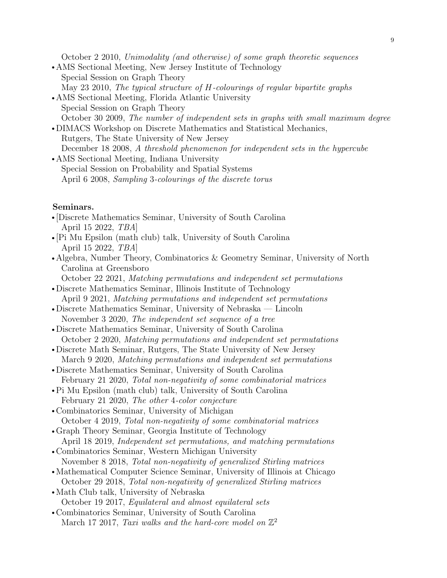October 2 2010, Unimodality (and otherwise) of some graph theoretic sequences

- AMS Sectional Meeting, New Jersey Institute of Technology Special Session on Graph Theory May 23 2010, The typical structure of H-colourings of regular bipartite graphs
- AMS Sectional Meeting, Florida Atlantic University Special Session on Graph Theory October 30 2009, The number of independent sets in graphs with small maximum degree
- DIMACS Workshop on Discrete Mathematics and Statistical Mechanics, Rutgers, The State University of New Jersey December 18 2008, A threshold phenomenon for independent sets in the hypercube
- AMS Sectional Meeting, Indiana University Special Session on Probability and Spatial Systems April 6 2008, Sampling 3-colourings of the discrete torus

## Seminars.

- r [Discrete Mathematics Seminar, University of South Carolina April 15 2022, TBA]
- r [Pi Mu Epsilon (math club) talk, University of South Carolina April 15 2022, TBA]
- Algebra, Number Theory, Combinatorics & Geometry Seminar, University of North Carolina at Greensboro
- October 22 2021, Matching permutations and independent set permutations
- Discrete Mathematics Seminar, Illinois Institute of Technology April 9 2021, Matching permutations and independent set permutations
- Discrete Mathematics Seminar, University of Nebraska Lincoln November 3 2020, The independent set sequence of a tree
- Discrete Mathematics Seminar, University of South Carolina October 2 2020, Matching permutations and independent set permutations
- Discrete Math Seminar, Rutgers, The State University of New Jersey March 9 2020, Matching permutations and independent set permutations
- Discrete Mathematics Seminar, University of South Carolina February 21 2020, Total non-negativity of some combinatorial matrices
- Pi Mu Epsilon (math club) talk, University of South Carolina February 21 2020, The other 4-color conjecture
- Combinatorics Seminar, University of Michigan October 4 2019, Total non-negativity of some combinatorial matrices
- Graph Theory Seminar, Georgia Institute of Technology April 18 2019, Independent set permutations, and matching permutations
- Combinatorics Seminar, Western Michigan University November 8 2018, Total non-negativity of generalized Stirling matrices
- Mathematical Computer Science Seminar, University of Illinois at Chicago October 29 2018, Total non-negativity of generalized Stirling matrices
- Math Club talk, University of Nebraska October 19 2017, Equilateral and almost equilateral sets
- Combinatorics Seminar, University of South Carolina March 17 2017, Taxi walks and the hard-core model on  $\mathbb{Z}^2$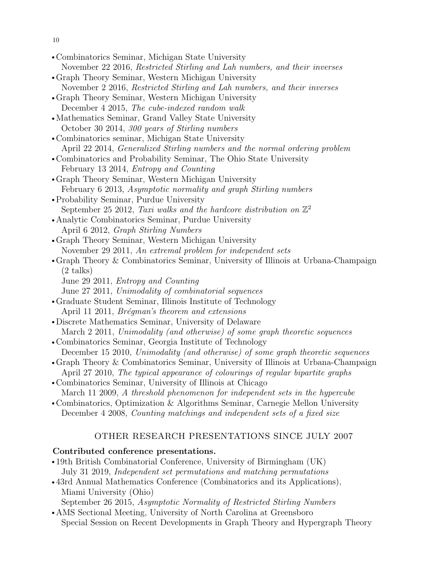- 10
- Combinatorics Seminar, Michigan State University November 22 2016, Restricted Stirling and Lah numbers, and their inverses • Graph Theory Seminar, Western Michigan University November 2 2016, Restricted Stirling and Lah numbers, and their inverses • Graph Theory Seminar, Western Michigan University December 4 2015, The cube-indexed random walk • Mathematics Seminar, Grand Valley State University October 30 2014, 300 years of Stirling numbers • Combinatorics seminar, Michigan State University April 22 2014, Generalized Stirling numbers and the normal ordering problem • Combinatorics and Probability Seminar, The Ohio State University February 13 2014, Entropy and Counting rGraph Theory Seminar, Western Michigan University February 6 2013, Asymptotic normality and graph Stirling numbers • Probability Seminar, Purdue University September 25 2012, Taxi walks and the hardcore distribution on  $\mathbb{Z}^2$ • Analytic Combinatorics Seminar, Purdue University April 6 2012, Graph Stirling Numbers • Graph Theory Seminar, Western Michigan University November 29 2011, An extremal problem for independent sets • Graph Theory & Combinatorics Seminar, University of Illinois at Urbana-Champaign (2 talks) June 29 2011, Entropy and Counting June 27 2011, Unimodality of combinatorial sequences rGraduate Student Seminar, Illinois Institute of Technology April 11 2011, *Brégman's theorem and extensions* • Discrete Mathematics Seminar, University of Delaware March 2 2011, Unimodality (and otherwise) of some graph theoretic sequences • Combinatorics Seminar, Georgia Institute of Technology December 15 2010, Unimodality (and otherwise) of some graph theoretic sequences • Graph Theory & Combinatorics Seminar, University of Illinois at Urbana-Champaign April 27 2010, The typical appearance of colourings of regular bipartite graphs • Combinatorics Seminar, University of Illinois at Chicago March 11 2009, A threshold phenomenon for independent sets in the hypercube • Combinatorics, Optimization & Algorithms Seminar, Carnegie Mellon University December 4 2008, Counting matchings and independent sets of a fixed size

# OTHER RESEARCH PRESENTATIONS SINCE JULY 2007

## Contributed conference presentations.

- •19th British Combinatorial Conference, University of Birmingham (UK) July 31 2019, Independent set permutations and matching permutations
- 43rd Annual Mathematics Conference (Combinatorics and its Applications), Miami University (Ohio) September 26 2015, Asymptotic Normality of Restricted Stirling Numbers
- AMS Sectional Meeting, University of North Carolina at Greensboro Special Session on Recent Developments in Graph Theory and Hypergraph Theory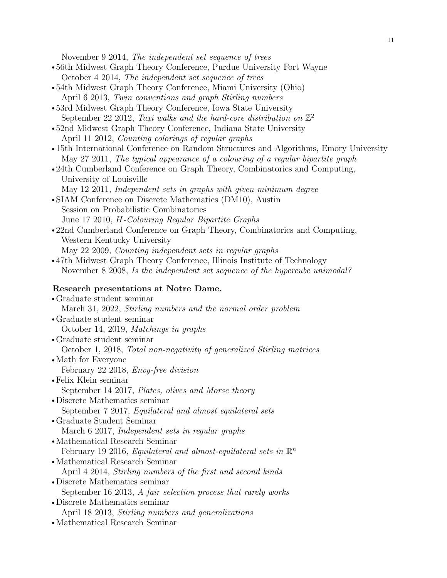November 9 2014, The independent set sequence of trees

- 56th Midwest Graph Theory Conference, Purdue University Fort Wayne October 4 2014, The independent set sequence of trees
- 54th Midwest Graph Theory Conference, Miami University (Ohio) April 6 2013, Twin conventions and graph Stirling numbers
- 53rd Midwest Graph Theory Conference, Iowa State University September 22 2012, Taxi walks and the hard-core distribution on  $\mathbb{Z}^2$
- •52nd Midwest Graph Theory Conference, Indiana State University April 11 2012, Counting colorings of regular graphs
- •15th International Conference on Random Structures and Algorithms, Emory University May 27 2011, The typical appearance of a colouring of a regular bipartite graph
- •24th Cumberland Conference on Graph Theory, Combinatorics and Computing, University of Louisville
	- May 12 2011, Independent sets in graphs with given minimum degree
- SIAM Conference on Discrete Mathematics (DM10), Austin Session on Probabilistic Combinatorics June 17 2010, H-Colouring Regular Bipartite Graphs
- 22nd Cumberland Conference on Graph Theory, Combinatorics and Computing, Western Kentucky University May 22 2009, Counting independent sets in regular graphs
- 47th Midwest Graph Theory Conference, Illinois Institute of Technology November 8 2008, Is the independent set sequence of the hypercube unimodal?

#### Research presentations at Notre Dame.

- rGraduate student seminar March 31, 2022, Stirling numbers and the normal order problem • Graduate student seminar October 14, 2019, Matchings in graphs rGraduate student seminar October 1, 2018, Total non-negativity of generalized Stirling matrices • Math for Everyone February 22 2018, Envy-free division • Felix Klein seminar September 14 2017, Plates, olives and Morse theory • Discrete Mathematics seminar September 7 2017, Equilateral and almost equilateral sets rGraduate Student Seminar March 6 2017, Independent sets in regular graphs • Mathematical Research Seminar February 19 2016, Equilateral and almost-equilateral sets in  $\mathbb{R}^n$ • Mathematical Research Seminar April 4 2014, Stirling numbers of the first and second kinds • Discrete Mathematics seminar September 16 2013, A fair selection process that rarely works • Discrete Mathematics seminar April 18 2013, Stirling numbers and generalizations
- Mathematical Research Seminar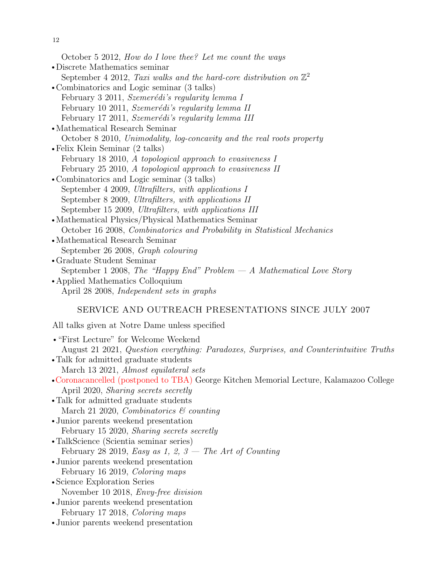12

October 5 2012, How do I love thee? Let me count the ways

- Discrete Mathematics seminar September 4 2012, Taxi walks and the hard-core distribution on  $\mathbb{Z}^2$
- Combinatorics and Logic seminar (3 talks) February 3 2011, Szemerédi's regularity lemma I February 10 2011, Szemerédi's regularity lemma II February 17 2011, Szemerédi's regularity lemma III
- Mathematical Research Seminar October 8 2010, Unimodality, log-concavity and the real roots property
- $\bullet$  Felix Klein Seminar (2 talks) February 18 2010, A topological approach to evasiveness I February 25 2010, A topological approach to evasiveness II
- Combinatorics and Logic seminar (3 talks) September 4 2009, Ultrafilters, with applications I September 8 2009, Ultrafilters, with applications II September 15 2009, Ultrafilters, with applications III
- Mathematical Physics/Physical Mathematics Seminar October 16 2008, Combinatorics and Probability in Statistical Mechanics
- Mathematical Research Seminar September 26 2008, Graph colouring
- rGraduate Student Seminar September 1 2008, The "Happy End" Problem  $-A$  Mathematical Love Story
- Applied Mathematics Colloquium April 28 2008, Independent sets in graphs

## SERVICE AND OUTREACH PRESENTATIONS SINCE JULY 2007

All talks given at Notre Dame unless specified

r"First Lecture" for Welcome Weekend August 21 2021, Question everything: Paradoxes, Surprises, and Counterintuitive Truths • Talk for admitted graduate students March 13 2021, Almost equilateral sets rCoronacancelled (postponed to TBA) George Kitchen Memorial Lecture, Kalamazoo College April 2020, Sharing secrets secretly • Talk for admitted graduate students March 21 2020, *Combinatorics* & counting • Junior parents weekend presentation February 15 2020, *Sharing secrets secretly* • TalkScience (Scientia seminar series) February 28 2019, Easy as 1, 2,  $\beta$  – The Art of Counting • Junior parents weekend presentation February 16 2019, Coloring maps • Science Exploration Series November 10 2018, Envy-free division • Junior parents weekend presentation February 17 2018, Coloring maps • Junior parents weekend presentation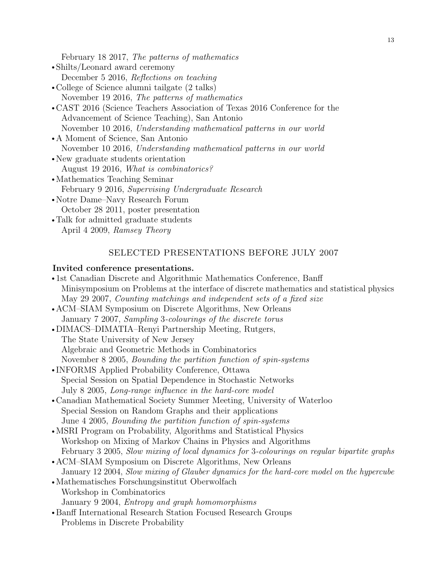February 18 2017, The patterns of mathematics

- Shilts/Leonard award ceremony December 5 2016, Reflections on teaching
- College of Science alumni tailgate (2 talks) November 19 2016, The patterns of mathematics
- CAST 2016 (Science Teachers Association of Texas 2016 Conference for the Advancement of Science Teaching), San Antonio November 10 2016, Understanding mathematical patterns in our world
- A Moment of Science, San Antonio November 10 2016, Understanding mathematical patterns in our world
- New graduate students orientation August 19 2016, What is combinatorics?
- Mathematics Teaching Seminar February 9 2016, Supervising Undergraduate Research
- Notre Dame–Navy Research Forum October 28 2011, poster presentation
- Talk for admitted graduate students April 4 2009, Ramsey Theory

## SELECTED PRESENTATIONS BEFORE JULY 2007

#### Invited conference presentations.

- 1st Canadian Discrete and Algorithmic Mathematics Conference, Banff Minisymposium on Problems at the interface of discrete mathematics and statistical physics May 29 2007, Counting matchings and independent sets of a fixed size
- ACM–SIAM Symposium on Discrete Algorithms, New Orleans January 7 2007, Sampling 3-colourings of the discrete torus
- DIMACS–DIMATIA–Renyi Partnership Meeting, Rutgers, The State University of New Jersey Algebraic and Geometric Methods in Combinatorics November 8 2005, Bounding the partition function of spin-systems
- •INFORMS Applied Probability Conference, Ottawa Special Session on Spatial Dependence in Stochastic Networks July 8 2005, Long-range influence in the hard-core model
- Canadian Mathematical Society Summer Meeting, University of Waterloo Special Session on Random Graphs and their applications June 4 2005, Bounding the partition function of spin-systems
- MSRI Program on Probability, Algorithms and Statistical Physics Workshop on Mixing of Markov Chains in Physics and Algorithms February 3 2005, Slow mixing of local dynamics for 3-colourings on regular bipartite graphs
- ACM–SIAM Symposium on Discrete Algorithms, New Orleans January 12 2004, Slow mixing of Glauber dynamics for the hard-core model on the hypercube
- Mathematisches Forschungsinstitut Oberwolfach Workshop in Combinatorics January 9 2004, Entropy and graph homomorphisms
- Banff International Research Station Focused Research Groups Problems in Discrete Probability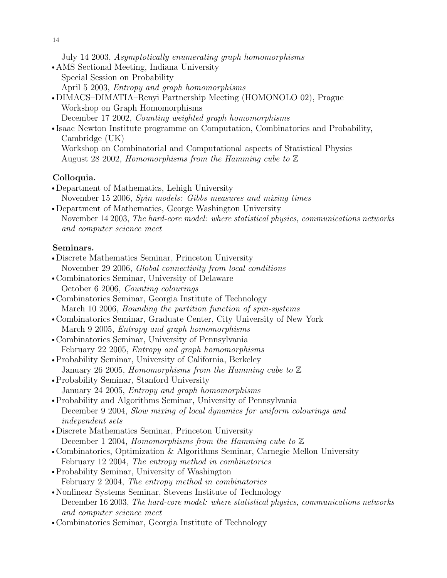July 14 2003, Asymptotically enumerating graph homomorphisms

- AMS Sectional Meeting, Indiana University Special Session on Probability April 5 2003, Entropy and graph homomorphisms • DIMACS–DIMATIA–Renyi Partnership Meeting (HOMONOLO 02), Prague
- Workshop on Graph Homomorphisms December 17 2002, Counting weighted graph homomorphisms
- Isaac Newton Institute programme on Computation, Combinatorics and Probability, Cambridge (UK) Workshop on Combinatorial and Computational aspects of Statistical Physics
	- August 28 2002, Homomorphisms from the Hamming cube to  $\mathbb Z$

## Colloquia.

- Department of Mathematics, Lehigh University November 15 2006, Spin models: Gibbs measures and mixing times
- Department of Mathematics, George Washington University November 14 2003, The hard-core model: where statistical physics, communications networks and computer science meet

## Seminars.

- Discrete Mathematics Seminar, Princeton University November 29 2006, Global connectivity from local conditions
- Combinatorics Seminar, University of Delaware October 6 2006, Counting colourings
- Combinatorics Seminar, Georgia Institute of Technology March 10 2006, Bounding the partition function of spin-systems
- Combinatorics Seminar, Graduate Center, City University of New York March 9 2005, Entropy and graph homomorphisms
- Combinatorics Seminar, University of Pennsylvania February 22 2005, Entropy and graph homomorphisms
- Probability Seminar, University of California, Berkeley January 26 2005, Homomorphisms from the Hamming cube to  $\mathbb Z$
- Probability Seminar, Stanford University January 24 2005, Entropy and graph homomorphisms
- Probability and Algorithms Seminar, University of Pennsylvania December 9 2004, Slow mixing of local dynamics for uniform colourings and independent sets
- Discrete Mathematics Seminar, Princeton University December 1 2004, Homomorphisms from the Hamming cube to  $\mathbb Z$
- rCombinatorics, Optimization & Algorithms Seminar, Carnegie Mellon University February 12 2004, The entropy method in combinatorics
- Probability Seminar, University of Washington February 2 2004, The entropy method in combinatorics
- Nonlinear Systems Seminar, Stevens Institute of Technology December 16 2003, The hard-core model: where statistical physics, communications networks and computer science meet
- Combinatorics Seminar, Georgia Institute of Technology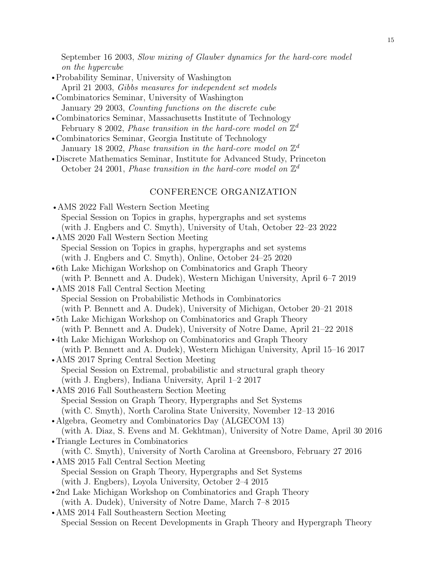September 16 2003, Slow mixing of Glauber dynamics for the hard-core model on the hypercube

- Probability Seminar, University of Washington April 21 2003, Gibbs measures for independent set models
- Combinatorics Seminar, University of Washington January 29 2003, Counting functions on the discrete cube
- Combinatorics Seminar, Massachusetts Institute of Technology February 8 2002, *Phase transition in the hard-core model on*  $\mathbb{Z}^d$
- Combinatorics Seminar, Georgia Institute of Technology January 18 2002, *Phase transition in the hard-core model on*  $\mathbb{Z}^d$
- rDiscrete Mathematics Seminar, Institute for Advanced Study, Princeton October 24 2001, Phase transition in the hard-core model on  $\mathbb{Z}^d$

## CONFERENCE ORGANIZATION

- AMS 2022 Fall Western Section Meeting Special Session on Topics in graphs, hypergraphs and set systems (with J. Engbers and C. Smyth), University of Utah, October 22–23 2022 • AMS 2020 Fall Western Section Meeting
- Special Session on Topics in graphs, hypergraphs and set systems (with J. Engbers and C. Smyth), Online, October 24–25 2020
- •6th Lake Michigan Workshop on Combinatorics and Graph Theory (with P. Bennett and A. Dudek), Western Michigan University, April 6–7 2019
- AMS 2018 Fall Central Section Meeting Special Session on Probabilistic Methods in Combinatorics (with P. Bennett and A. Dudek), University of Michigan, October 20–21 2018
- •5th Lake Michigan Workshop on Combinatorics and Graph Theory (with P. Bennett and A. Dudek), University of Notre Dame, April 21–22 2018
- •4th Lake Michigan Workshop on Combinatorics and Graph Theory (with P. Bennett and A. Dudek), Western Michigan University, April 15–16 2017
- AMS 2017 Spring Central Section Meeting Special Session on Extremal, probabilistic and structural graph theory (with J. Engbers), Indiana University, April 1–2 2017
- AMS 2016 Fall Southeastern Section Meeting Special Session on Graph Theory, Hypergraphs and Set Systems (with C. Smyth), North Carolina State University, November 12–13 2016
- Algebra, Geometry and Combinatorics Day (ALGECOM 13) (with A. Diaz, S. Evens and M. Gekhtman), University of Notre Dame, April 30 2016
- Triangle Lectures in Combinatorics (with C. Smyth), University of North Carolina at Greensboro, February 27 2016
- AMS 2015 Fall Central Section Meeting Special Session on Graph Theory, Hypergraphs and Set Systems (with J. Engbers), Loyola University, October 2–4 2015
- 2nd Lake Michigan Workshop on Combinatorics and Graph Theory (with A. Dudek), University of Notre Dame, March 7–8 2015
- AMS 2014 Fall Southeastern Section Meeting Special Session on Recent Developments in Graph Theory and Hypergraph Theory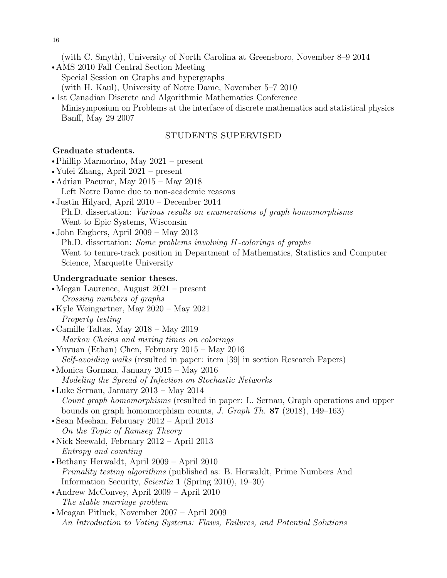16

(with C. Smyth), University of North Carolina at Greensboro, November 8–9 2014

- AMS 2010 Fall Central Section Meeting Special Session on Graphs and hypergraphs (with H. Kaul), University of Notre Dame, November 5–7 2010
- 1st Canadian Discrete and Algorithmic Mathematics Conference Minisymposium on Problems at the interface of discrete mathematics and statistical physics Banff, May 29 2007

## STUDENTS SUPERVISED

## Graduate students.

- $\bullet$ Phillip Marmorino, May 2021 present
- Yufei Zhang, April  $2021$  present
- Adrian Pacurar, May  $2015 -$ May  $2018$ Left Notre Dame due to non-academic reasons
- $\bullet$  Justin Hilyard, April 2010 December 2014 Ph.D. dissertation: Various results on enumerations of graph homomorphisms Went to Epic Systems, Wisconsin
- John Engbers, April  $2009 May 2013$ Ph.D. dissertation: Some problems involving H-colorings of graphs Went to tenure-track position in Department of Mathematics, Statistics and Computer Science, Marquette University

## Undergraduate senior theses.

- Megan Laurence, August  $2021$  present Crossing numbers of graphs
- Kyle Weingartner, May  $2020 -$  May  $2021$ Property testing
- Camille Taltas, May  $2018 -$  May  $2019$ Markov Chains and mixing times on colorings
- Yuyuan (Ethan) Chen, February  $2015$  May  $2016$ Self-avoiding walks (resulted in paper: item [39] in section Research Papers)
- Monica Gorman, January 2015 May 2016 Modeling the Spread of Infection on Stochastic Networks
- Luke Sernau, January 2013 May 2014 Count graph homomorphisms (resulted in paper: L. Sernau, Graph operations and upper bounds on graph homomorphism counts, J. Graph Th. 87 (2018), 149–163)
- Sean Meehan, February  $2012 April 2013$ On the Topic of Ramsey Theory
- Nick Seewald, February  $2012 April 2013$ Entropy and counting
- $\bullet$  Bethany Herwaldt, April 2009 April 2010 Primality testing algorithms (published as: B. Herwaldt, Prime Numbers And Information Security, Scientia 1 (Spring 2010), 19–30)
- Andrew McConvey, April  $2009 -$  April  $2010$ The stable marriage problem
- •Meagan Pitluck, November 2007 April 2009 An Introduction to Voting Systems: Flaws, Failures, and Potential Solutions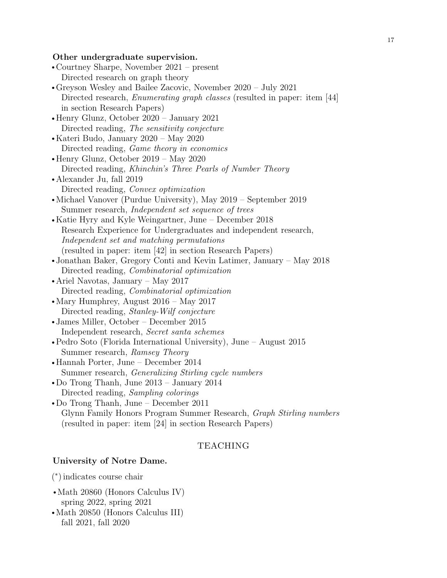#### Other undergraduate supervision.

- Courtney Sharpe, November  $2021$  present Directed research on graph theory
- •Greyson Wesley and Bailee Zacovic, November 2020 July 2021 Directed research, *Enumerating graph classes* (resulted in paper: item [44] in section Research Papers)
- Henry Glunz, October  $2020 -$  January 2021 Directed reading, The sensitivity conjecture
- Kateri Budo, January 2020 May 2020 Directed reading, Game theory in economics
- $\bullet$  Henry Glunz, October 2019 May 2020 Directed reading, Khinchin's Three Pearls of Number Theory • Alexander Ju, fall 2019
	- Directed reading, Convex optimization
- Michael Vanover (Purdue University), May 2019 September 2019 Summer research, Independent set sequence of trees
- Katie Hyry and Kyle Weingartner, June December 2018 Research Experience for Undergraduates and independent research, Independent set and matching permutations (resulted in paper: item [42] in section Research Papers)
- •Jonathan Baker, Gregory Conti and Kevin Latimer, January May 2018 Directed reading, Combinatorial optimization
- Ariel Navotas, January May 2017 Directed reading, Combinatorial optimization
- Mary Humphrey, August  $2016$  May  $2017$ Directed reading, Stanley-Wilf conjecture
- James Miller, October December 2015 Independent research, Secret santa schemes
- Pedro Soto (Florida International University), June August 2015 Summer research, Ramsey Theory
- $\bullet$ Hannah Porter, June December 2014 Summer research, Generalizing Stirling cycle numbers
- Do Trong Thanh, June  $2013 -$  January  $2014$ Directed reading, Sampling colorings
- Do Trong Thanh, June December 2011 Glynn Family Honors Program Summer Research, Graph Stirling numbers (resulted in paper: item [24] in section Research Papers)

## TEACHING

## University of Notre Dame.

( ∗ ) indicates course chair

- Math 20860 (Honors Calculus IV) spring 2022, spring 2021
- Math 20850 (Honors Calculus III) fall 2021, fall 2020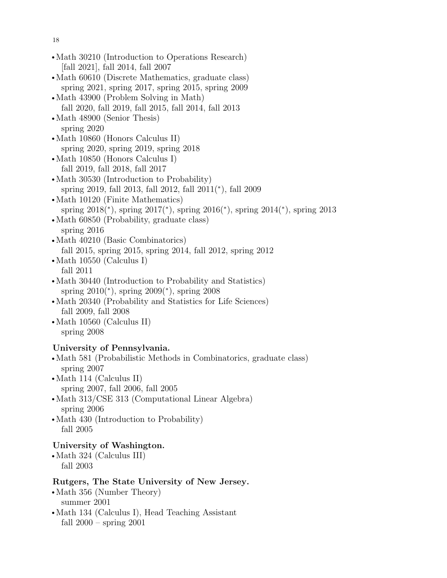$\bullet$  Math 30210 (Introduction to Operations Research) [fall 2021], fall 2014, fall 2007  $\bullet$  Math 60610 (Discrete Mathematics, graduate class) spring 2021, spring 2017, spring 2015, spring 2009  $\bullet$  Math 43900 (Problem Solving in Math) fall 2020, fall 2019, fall 2015, fall 2014, fall 2013 • Math 48900 (Senior Thesis) spring 2020 • Math 10860 (Honors Calculus II) spring 2020, spring 2019, spring 2018 • Math 10850 (Honors Calculus I) fall 2019, fall 2018, fall 2017 • Math 30530 (Introduction to Probability) spring 2019, fall 2013, fall 2012, fall 2011(<sup>∗</sup> ), fall 2009 • Math 10120 (Finite Mathematics) spring 2018(\*), spring 2017(\*), spring 2016(\*), spring 2014(\*), spring 2013 • Math 60850 (Probability, graduate class) spring 2016 • Math 40210 (Basic Combinatorics) fall 2015, spring 2015, spring 2014, fall 2012, spring 2012 • Math 10550 (Calculus I) fall 2011 • Math 30440 (Introduction to Probability and Statistics) spring 2010(<sup>\*</sup>), spring 2009(<sup>\*</sup>), spring 2008 • Math 20340 (Probability and Statistics for Life Sciences) fall 2009, fall 2008 • Math 10560 (Calculus II) spring 2008 University of Pennsylvania. • Math 581 (Probabilistic Methods in Combinatorics, graduate class) spring 2007  $\bullet$  Math 114 (Calculus II) spring 2007, fall 2006, fall 2005 • Math  $313/CSE$  313 (Computational Linear Algebra) spring 2006 • Math  $430$  (Introduction to Probability) fall 2005 University of Washington.  $\bullet$  Math 324 (Calculus III) fall 2003

## Rutgers, The State University of New Jersey.

- Math 356 (Number Theory) summer 2001
- Math 134 (Calculus I), Head Teaching Assistant fall 2000 – spring 2001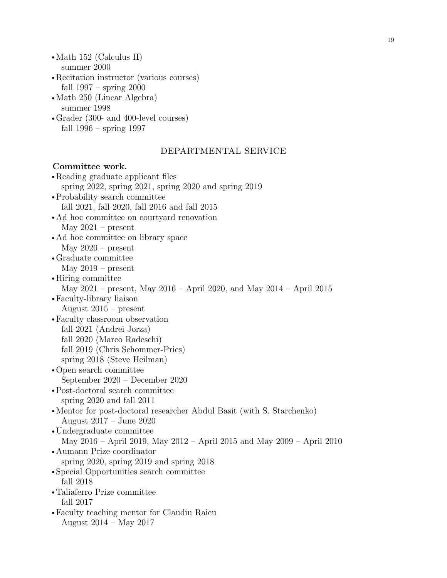• Math 152 (Calculus II) summer 2000

- Recitation instructor (various courses) fall 1997 – spring 2000
- Math 250 (Linear Algebra) summer 1998
- Grader (300- and 400-level courses) fall 1996 – spring 1997

## DEPARTMENTAL SERVICE

## Committee work.

• Reading graduate applicant files spring 2022, spring 2021, spring 2020 and spring 2019 • Probability search committee fall 2021, fall 2020, fall 2016 and fall 2015 • Ad hoc committee on courtyard renovation May  $2021$  – present • Ad hoc committee on library space May  $2020$  – present • Graduate committee May  $2019$  – present • Hiring committee May 2021 – present, May 2016 – April 2020, and May 2014 – April 2015 • Faculty-library liaison August 2015 – present rFaculty classroom observation fall 2021 (Andrei Jorza) fall 2020 (Marco Radeschi) fall 2019 (Chris Schommer-Pries) spring 2018 (Steve Heilman) • Open search committee September 2020 – December 2020 • Post-doctoral search committee spring 2020 and fall 2011 • Mentor for post-doctoral researcher Abdul Basit (with S. Starchenko) August 2017 – June 2020 • Undergraduate committee May 2016 – April 2019, May 2012 – April 2015 and May 2009 – April 2010 • Aumann Prize coordinator spring 2020, spring 2019 and spring 2018 • Special Opportunities search committee fall 2018 • Taliaferro Prize committee fall 2017 • Faculty teaching mentor for Claudiu Raicu August 2014 – May 2017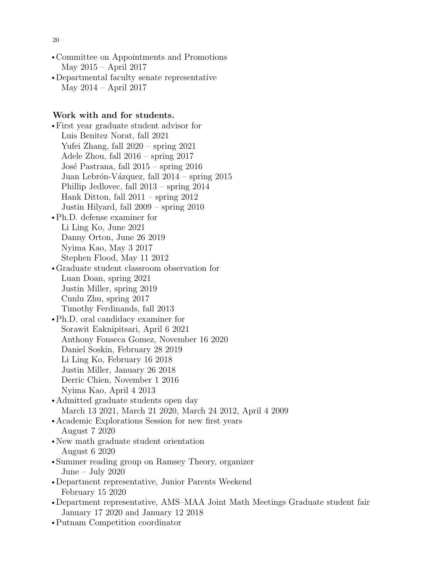- Committee on Appointments and Promotions May 2015 – April 2017
- Departmental faculty senate representative May 2014 – April 2017

## Work with and for students.

• First year graduate student advisor for Luis Benitez Norat, fall 2021 Yufei Zhang, fall 2020 – spring 2021 Adele Zhou, fall 2016 – spring 2017 José Pastrana, fall  $2015$  – spring  $2016$ Juan Lebrón-Vázquez, fall  $2014$  – spring  $2015$ Phillip Jedlovec, fall 2013 – spring 2014 Hank Ditton, fall 2011 – spring 2012 Justin Hilyard, fall 2009 – spring 2010 • Ph.D. defense examiner for

- Li Ling Ko, June 2021 Danny Orton, June 26 2019 Nyima Kao, May 3 2017 Stephen Flood, May 11 2012
- rGraduate student classroom observation for Luan Doan, spring 2021 Justin Miller, spring 2019 Cunlu Zhu, spring 2017 Timothy Ferdinands, fall 2013
- Ph.D. oral candidacy examiner for Sorawit Eaknipitsari, April 6 2021 Anthony Fonseca Gomez, November 16 2020 Daniel Soskin, February 28 2019 Li Ling Ko, February 16 2018 Justin Miller, January 26 2018 Derric Chien, November 1 2016 Nyima Kao, April 4 2013
- Admitted graduate students open day March 13 2021, March 21 2020, March 24 2012, April 4 2009
- Academic Explorations Session for new first years August 7 2020
- New math graduate student orientation August 6 2020
- Summer reading group on Ramsey Theory, organizer June – July 2020
- Department representative, Junior Parents Weekend February 15 2020
- •Department representative, AMS–MAA Joint Math Meetings Graduate student fair January 17 2020 and January 12 2018
- Putnam Competition coordinator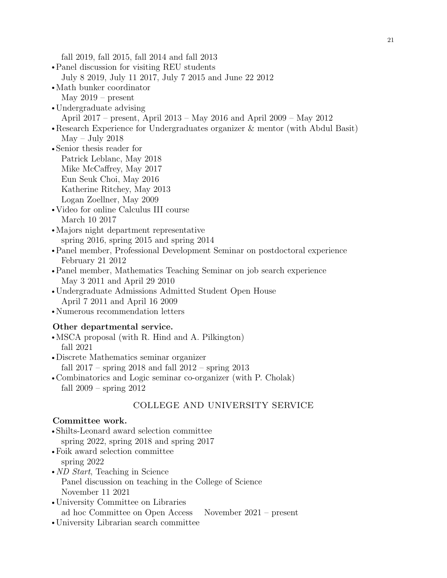fall 2019, fall 2015, fall 2014 and fall 2013

- Panel discussion for visiting REU students July 8 2019, July 11 2017, July 7 2015 and June 22 2012
- Math bunker coordinator May  $2019$  – present
- Undergraduate advising
- April 2017 present, April 2013 May 2016 and April 2009 May 2012
- •Research Experience for Undergraduates organizer & mentor (with Abdul Basit) May – July 2018
- Senior thesis reader for Patrick Leblanc, May 2018 Mike McCaffrey, May 2017 Eun Seuk Choi, May 2016 Katherine Ritchey, May 2013 Logan Zoellner, May 2009
- Video for online Calculus III course March 10 2017
- Majors night department representative spring 2016, spring 2015 and spring 2014
- Panel member, Professional Development Seminar on postdoctoral experience February 21 2012
- rPanel member, Mathematics Teaching Seminar on job search experience May 3 2011 and April 29 2010
- Undergraduate Admissions Admitted Student Open House April 7 2011 and April 16 2009
- Numerous recommendation letters

## Other departmental service.

- MSCA proposal (with R. Hind and A. Pilkington) fall 2021
- Discrete Mathematics seminar organizer fall 2017 – spring 2018 and fall 2012 – spring 2013
- Combinatorics and Logic seminar co-organizer (with P. Cholak) fall 2009 – spring 2012

## COLLEGE AND UNIVERSITY SERVICE

## Committee work.

- Shilts-Leonard award selection committee spring 2022, spring 2018 and spring 2017
- Foik award selection committee spring 2022
- $ND$  Start, Teaching in Science Panel discussion on teaching in the College of Science November 11 2021
- University Committee on Libraries ad hoc Committee on Open Access November 2021 – present
- University Librarian search committee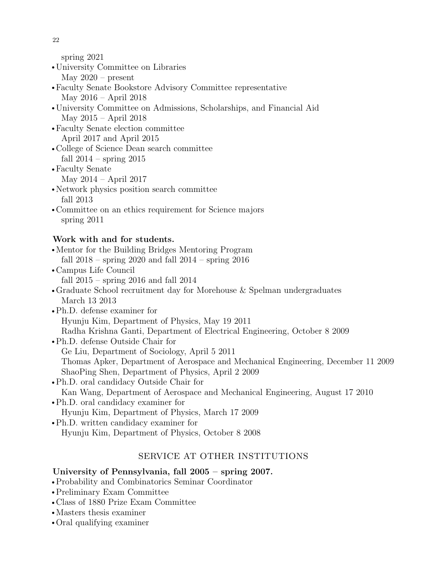spring 2021

- University Committee on Libraries May  $2020 -$  present
- rFaculty Senate Bookstore Advisory Committee representative May 2016 – April 2018
- University Committee on Admissions, Scholarships, and Financial Aid May 2015 – April 2018
- rFaculty Senate election committee April 2017 and April 2015
- College of Science Dean search committee fall  $2014$  – spring  $2015$
- Faculty Senate
	- May 2014 April 2017
- Network physics position search committee fall 2013
- Committee on an ethics requirement for Science majors spring 2011

# Work with and for students.

- Mentor for the Building Bridges Mentoring Program fall 2018 – spring 2020 and fall 2014 – spring 2016
- Campus Life Council fall 2015 – spring 2016 and fall 2014
- rGraduate School recruitment day for Morehouse & Spelman undergraduates March 13 2013
- Ph.D. defense examiner for Hyunju Kim, Department of Physics, May 19 2011 Radha Krishna Ganti, Department of Electrical Engineering, October 8 2009
- Ph.D. defense Outside Chair for Ge Liu, Department of Sociology, April 5 2011 Thomas Apker, Department of Aerospace and Mechanical Engineering, December 11 2009 ShaoPing Shen, Department of Physics, April 2 2009
- Ph.D. oral candidacy Outside Chair for Kan Wang, Department of Aerospace and Mechanical Engineering, August 17 2010 • Ph.D. oral candidacy examiner for
	- Hyunju Kim, Department of Physics, March 17 2009
- Ph.D. written candidacy examiner for Hyunju Kim, Department of Physics, October 8 2008

# SERVICE AT OTHER INSTITUTIONS

# University of Pennsylvania, fall  $2005 -$  spring  $2007$ .

- rProbability and Combinatorics Seminar Coordinator
- Preliminary Exam Committee
- Class of 1880 Prize Exam Committee
- Masters thesis examiner
- Oral qualifying examiner